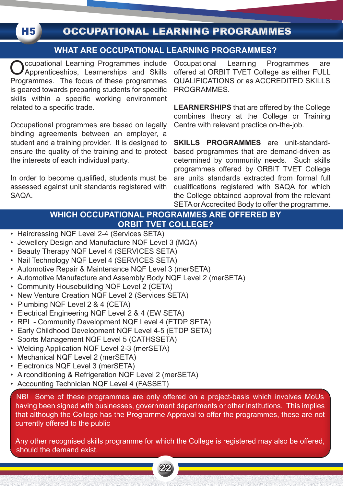# OCCUPATIONAL LEARNING PROGRAMMES

### **WHAT ARE OCCUPATIONAL LEARNING PROGRAMMES?**

Cocupational Learning Programmes include<br>Apprenticeships, Learnerships and Skills Programmes. The focus of these programmes is geared towards preparing students for specific skills within a specific working environment related to a specific trade.

**H5** 

Occupational programmes are based on legally binding agreements between an employer, a student and a training provider. It is designed to ensure the quality of the training and to protect the interests of each individual party.

In order to become qualified, students must be assessed against unit standards registered with SAQA.

Occupational Learning Programmes are offered at ORBIT TVET College as either FULL QUALIFICATIONS or as ACCREDITED SKILLS **PROGRAMMES** 

**LEARNERSHIPS** that are offered by the College combines theory at the College or Training Centre with relevant practice on-the-job.

**SKILLS PROGRAMMES** are unit-standardbased programmes that are demand-driven as determined by community needs. Such skills programmes offered by ORBIT TVET College are units standards extracted from formal full qualifications registered with SAQA for which the College obtained approval from the relevant SETA or Accredited Body to offer the programme.

## **WHICH OCCUPATIONAL PROGRAMMES ARE OFFERED BY ORBIT TVET COLLEGE?**

- Hairdressing NQF Level 2-4 (Services SETA)
- Jewellery Design and Manufacture NQF Level 3 (MQA)
- Beauty Therapy NQF Level 4 (SERVICES SETA)
- Nail Technology NQF Level 4 (SERVICES SETA)
- Automotive Repair & Maintenance NQF Level 3 (merSETA)
- Automotive Manufacture and Assembly Body NQF Level 2 (merSETA)
- Community Housebuilding NQF Level 2 (CETA)
- New Venture Creation NQF Level 2 (Services SETA)
- Plumbing NQF Level 2 & 4 (CETA)
- Electrical Engineering NQF Level 2 & 4 (EW SETA)
- RPL Community Development NQF Level 4 (ETDP SETA)
- Early Childhood Development NQF Level 4-5 (ETDP SETA)
- Sports Management NQF Level 5 (CATHSSETA)
- Welding Application NQF Level 2-3 (merSETA)
- Mechanical NQF Level 2 (merSETA)
- Electronics NQF Level 3 (merSETA)
- Airconditioning & Refrigeration NQF Level 2 (merSETA)
- Accounting Technician NQF Level 4 (FASSET)

NB! Some of these programmes are only offered on a project-basis which involves MoUs having been signed with businesses, government departments or other institutions. This implies that although the College has the Programme Approval to offer the programmes, these are not currently offered to the public

Any other recognised skills programme for which the College is registered may also be offered, should the demand exist.

**22 23**